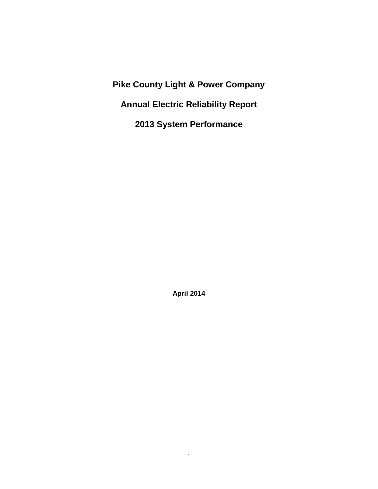**Pike County Light & Power Company Annual Electric Reliability Report 2013 System Performance**

**April 2014**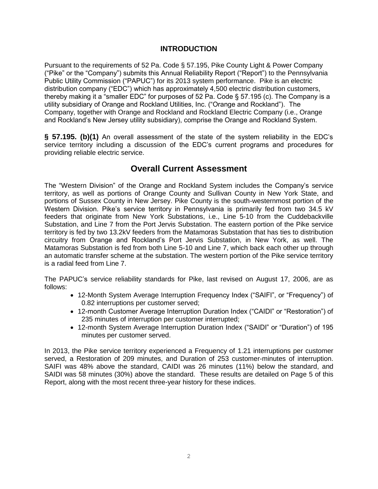# **INTRODUCTION**

Pursuant to the requirements of 52 Pa. Code § 57.195, Pike County Light & Power Company ("Pike" or the "Company") submits this Annual Reliability Report ("Report") to the Pennsylvania Public Utility Commission ("PAPUC") for its 2013 system performance. Pike is an electric distribution company ("EDC") which has approximately 4,500 electric distribution customers, thereby making it a "smaller EDC" for purposes of 52 Pa. Code § 57.195 (c). The Company is a utility subsidiary of Orange and Rockland Utilities, Inc. ("Orange and Rockland"). The Company, together with Orange and Rockland and Rockland Electric Company (i.e., Orange and Rockland's New Jersey utility subsidiary), comprise the Orange and Rockland System.

**§ 57.195. (b)(1)** An overall assessment of the state of the system reliability in the EDC's service territory including a discussion of the EDC's current programs and procedures for providing reliable electric service.

# **Overall Current Assessment**

The "Western Division" of the Orange and Rockland System includes the Company's service territory, as well as portions of Orange County and Sullivan County in New York State, and portions of Sussex County in New Jersey. Pike County is the south-westernmost portion of the Western Division. Pike's service territory in Pennsylvania is primarily fed from two 34.5 kV feeders that originate from New York Substations, i.e., Line 5-10 from the Cuddebackville Substation, and Line 7 from the Port Jervis Substation. The eastern portion of the Pike service territory is fed by two 13.2kV feeders from the Matamoras Substation that has ties to distribution circuitry from Orange and Rockland's Port Jervis Substation, in New York, as well. The Matamoras Substation is fed from both Line 5-10 and Line 7, which back each other up through an automatic transfer scheme at the substation. The western portion of the Pike service territory is a radial feed from Line 7.

The PAPUC's service reliability standards for Pike, last revised on August 17, 2006, are as follows:

- 12-Month System Average Interruption Frequency Index ("SAIFI", or "Frequency") of 0.82 interruptions per customer served;
- 12-month Customer Average Interruption Duration Index ("CAIDI" or "Restoration") of 235 minutes of interruption per customer interrupted;
- 12-month System Average Interruption Duration Index ("SAIDI" or "Duration") of 195 minutes per customer served.

In 2013, the Pike service territory experienced a Frequency of 1.21 interruptions per customer served, a Restoration of 209 minutes, and Duration of 253 customer-minutes of interruption. SAIFI was 48% above the standard, CAIDI was 26 minutes (11%) below the standard, and SAIDI was 58 minutes (30%) above the standard. These results are detailed on Page 5 of this Report, along with the most recent three-year history for these indices.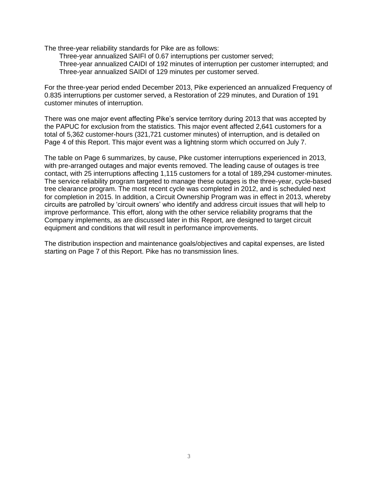The three-year reliability standards for Pike are as follows:

Three-year annualized SAIFI of 0.67 interruptions per customer served; Three-year annualized CAIDI of 192 minutes of interruption per customer interrupted; and Three-year annualized SAIDI of 129 minutes per customer served.

For the three-year period ended December 2013, Pike experienced an annualized Frequency of 0.835 interruptions per customer served, a Restoration of 229 minutes, and Duration of 191 customer minutes of interruption.

There was one major event affecting Pike's service territory during 2013 that was accepted by the PAPUC for exclusion from the statistics. This major event affected 2,641 customers for a total of 5,362 customer-hours (321,721 customer minutes) of interruption, and is detailed on Page 4 of this Report. This major event was a lightning storm which occurred on July 7.

The table on Page 6 summarizes, by cause, Pike customer interruptions experienced in 2013, with pre-arranged outages and major events removed. The leading cause of outages is tree contact, with 25 interruptions affecting 1,115 customers for a total of 189,294 customer-minutes. The service reliability program targeted to manage these outages is the three-year, cycle-based tree clearance program. The most recent cycle was completed in 2012, and is scheduled next for completion in 2015. In addition, a Circuit Ownership Program was in effect in 2013, whereby circuits are patrolled by 'circuit owners' who identify and address circuit issues that will help to improve performance. This effort, along with the other service reliability programs that the Company implements, as are discussed later in this Report, are designed to target circuit equipment and conditions that will result in performance improvements.

The distribution inspection and maintenance goals/objectives and capital expenses, are listed starting on Page 7 of this Report. Pike has no transmission lines.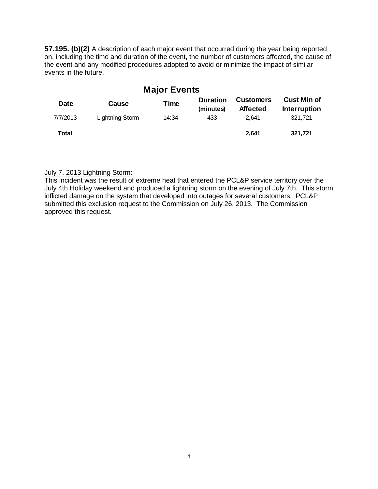**57.195. (b)(2)** A description of each major event that occurred during the year being reported on, including the time and duration of the event, the number of customers affected, the cause of the event and any modified procedures adopted to avoid or minimize the impact of similar events in the future.

| <b>Major Events</b> |                 |       |                              |                                     |                                           |  |
|---------------------|-----------------|-------|------------------------------|-------------------------------------|-------------------------------------------|--|
| <b>Date</b>         | Cause           | Time  | <b>Duration</b><br>(minutes) | <b>Customers</b><br><b>Affected</b> | <b>Cust Min of</b><br><b>Interruption</b> |  |
| 7/7/2013            | Lightning Storm | 14:34 | 433                          | 2.641                               | 321.721                                   |  |
| Total               |                 |       |                              | 2.641                               | 321,721                                   |  |

### July 7, 2013 Lightning Storm:

This incident was the result of extreme heat that entered the PCL&P service territory over the July 4th Holiday weekend and produced a lightning storm on the evening of July 7th. This storm inflicted damage on the system that developed into outages for several customers. PCL&P submitted this exclusion request to the Commission on July 26, 2013. The Commission approved this request.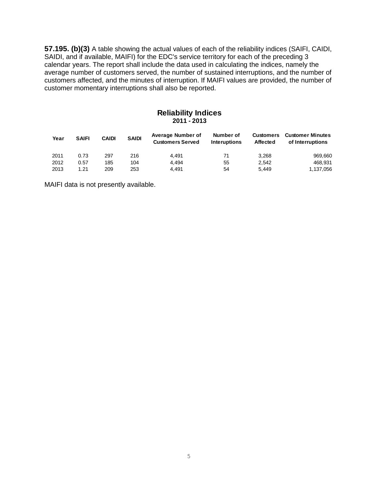**57.195. (b)(3)** A table showing the actual values of each of the reliability indices (SAIFI, CAIDI, SAIDI, and if available, MAIFI) for the EDC's service territory for each of the preceding 3 calendar years. The report shall include the data used in calculating the indices, namely the average number of customers served, the number of sustained interruptions, and the number of customers affected, and the minutes of interruption. If MAIFI values are provided, the number of customer momentary interruptions shall also be reported.

#### **Reliability Indices 2011 - 2013**

| Year | <b>SAIFI</b> | <b>CAIDI</b> | <b>SAIDI</b> | Average Number of<br><b>Customers Served</b> | Number of<br><b>Interuptions</b> | <b>Customers</b><br><b>Affected</b> | <b>Customer Minutes</b><br>of Interruptions |
|------|--------------|--------------|--------------|----------------------------------------------|----------------------------------|-------------------------------------|---------------------------------------------|
| 2011 | 0.73         | 297          | 216          | 4.491                                        | 71                               | 3.268                               | 969.660                                     |
| 2012 | 0.57         | 185          | 104          | 4.494                                        | 55                               | 2.542                               | 468.931                                     |
| 2013 | 1.21         | 209          | 253          | 4.491                                        | 54                               | 5.449                               | 1,137,056                                   |

MAIFI data is not presently available.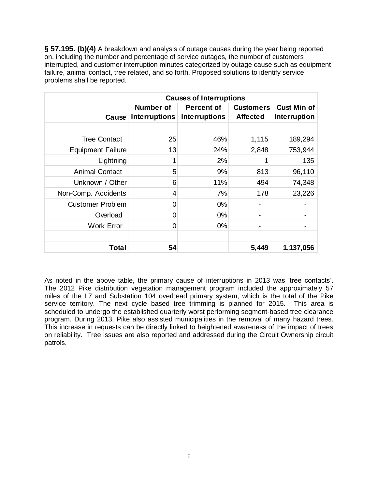**§ 57.195. (b)(4)** A breakdown and analysis of outage causes during the year being reported on, including the number and percentage of service outages, the number of customers interrupted, and customer interruption minutes categorized by outage cause such as equipment Failure, animal contact, tree related, and so forth. Proposed solutions to identify service<br>problems shall be reported.<br>**Causes of Interruptions**<br>**Causes of Interruptions** problems shall be reported.

|                          | Number of            | <b>Percent of</b>    | <b>Customers</b> | <b>Cust Min of</b> |
|--------------------------|----------------------|----------------------|------------------|--------------------|
| Cause                    | <b>Interruptions</b> | <b>Interruptions</b> | <b>Affected</b>  | Interruption       |
|                          |                      |                      |                  |                    |
| <b>Tree Contact</b>      | 25                   | 46%                  | 1,115            | 189,294            |
| <b>Equipment Failure</b> | 13                   | 24%                  | 2,848            | 753,944            |
| Lightning                |                      | 2%                   |                  | 135                |
| <b>Animal Contact</b>    | 5                    | 9%                   | 813              | 96,110             |
| Unknown / Other          | 6                    | 11%                  | 494              | 74,348             |
| Non-Comp. Accidents      | 4                    | 7%                   | 178              | 23,226             |
| <b>Customer Problem</b>  | 0                    | $0\%$                |                  |                    |
| Overload                 | 0                    | 0%                   |                  |                    |
| <b>Work Error</b>        | 0                    | $0\%$                |                  |                    |
|                          |                      |                      |                  |                    |
| Total                    | 54                   |                      | 5,449            | 1,137,056          |

As noted in the above table, the primary cause of interruptions in 2013 was 'tree contacts'. The 2012 Pike distribution vegetation management program included the approximately 57 miles of the L7 and Substation 104 overhead primary system, which is the total of the Pike service territory. The next cycle based tree trimming is planned for 2015. This area is scheduled to undergo the established quarterly worst performing segment-based tree clearance program. During 2013, Pike also assisted municipalities in the removal of many hazard trees. This increase in requests can be directly linked to heightened awareness of the impact of trees on reliability. Tree issues are also reported and addressed during the Circuit Ownership circuit patrols.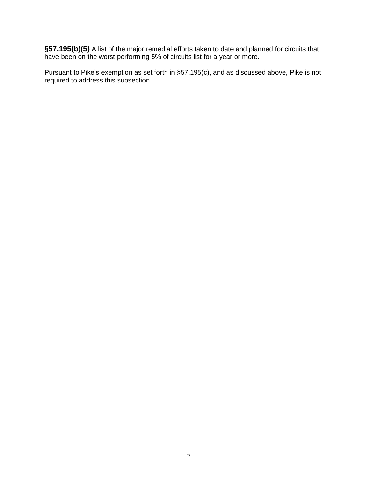**§57.195(b)(5)** A list of the major remedial efforts taken to date and planned for circuits that have been on the worst performing 5% of circuits list for a year or more.

Pursuant to Pike's exemption as set forth in §57.195(c), and as discussed above, Pike is not required to address this subsection.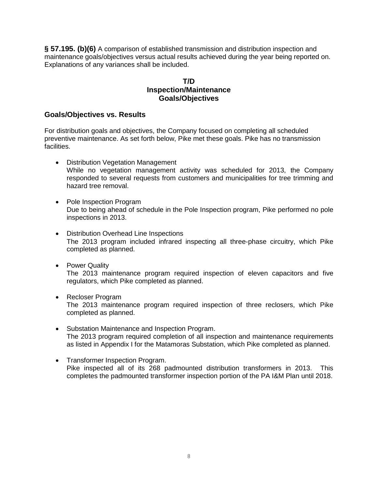**§ 57.195. (b)(6)** A comparison of established transmission and distribution inspection and maintenance goals/objectives versus actual results achieved during the year being reported on. Explanations of any variances shall be included.

# **T/D Inspection/Maintenance Goals/Objectives**

# **Goals/Objectives vs. Results**

For distribution goals and objectives, the Company focused on completing all scheduled preventive maintenance. As set forth below, Pike met these goals. Pike has no transmission facilities.

- Distribution Vegetation Management While no vegetation management activity was scheduled for 2013, the Company responded to several requests from customers and municipalities for tree trimming and hazard tree removal.
- Pole Inspection Program Due to being ahead of schedule in the Pole Inspection program, Pike performed no pole inspections in 2013.
- Distribution Overhead Line Inspections The 2013 program included infrared inspecting all three-phase circuitry, which Pike completed as planned.
- Power Quality The 2013 maintenance program required inspection of eleven capacitors and five regulators, which Pike completed as planned.
- Recloser Program The 2013 maintenance program required inspection of three reclosers, which Pike completed as planned.
- Substation Maintenance and Inspection Program. The 2013 program required completion of all inspection and maintenance requirements as listed in Appendix I for the Matamoras Substation, which Pike completed as planned.
- Transformer Inspection Program. Pike inspected all of its 268 padmounted distribution transformers in 2013. This completes the padmounted transformer inspection portion of the PA I&M Plan until 2018.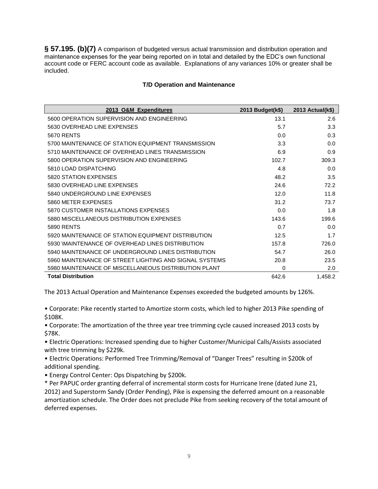**§ 57.195. (b)(7)** A comparison of budgeted versus actual transmission and distribution operation and maintenance expenses for the year being reported on in total and detailed by the EDC's own functional account code or FERC account code as available. Explanations of any variances 10% or greater shall be included.

#### **T/D Operation and Maintenance**

| 2013 O&M Expenditures                                  | 2013 Budget(k\$) | 2013 Actual(k\$) |
|--------------------------------------------------------|------------------|------------------|
| 5600 OPERATION SUPERVISION AND ENGINEERING             | 13.1             | 2.6              |
| 5630 OVERHEAD LINE EXPENSES                            | 5.7              | 3.3              |
| <b>5670 RENTS</b>                                      | 0.0              | 0.3              |
| 5700 MAINTENANCE OF STATION EQUIPMENT TRANSMISSION     | 3.3              | 0.0              |
| 5710 MAINTENANCE OF OVERHEAD LINES TRANSMISSION        | 6.9              | 0.9              |
| 5800 OPERATION SUPERVISION AND ENGINEERING             | 102.7            | 309.3            |
| 5810 LOAD DISPATCHING                                  | 4.8              | 0.0              |
| 5820 STATION EXPENSES                                  | 48.2             | 3.5              |
| 5830 OVERHEAD LINE EXPENSES                            | 24.6             | 72.2             |
| 5840 UNDERGROUND LINE EXPENSES                         | 12.0             | 11.8             |
| 5860 METER EXPENSES                                    | 31.2             | 73.7             |
| 5870 CUSTOMER INSTALLATIONS EXPENSES                   | 0.0              | 1.8              |
| 5880 MISCELLANEOUS DISTRIBUTION EXPENSES               | 143.6            | 199.6            |
| <b>5890 RENTS</b>                                      | 0.7              | 0.0              |
| 5920 MAINTENANCE OF STATION EQUIPMENT DISTRIBUTION     | 12.5             | 1.7              |
| 5930 MAINTENANCE OF OVERHEAD LINES DISTRIBUTION        | 157.8            | 726.0            |
| 5940 MAINTENANCE OF UNDERGROUND LINES DISTRIBUTION     | 54.7             | 26.0             |
| 5960 MAINTENANCE OF STREET LIGHTING AND SIGNAL SYSTEMS | 20.8             | 23.5             |
| 5980 MAINTENANCE OF MISCELLANEOUS DISTRIBUTION PLANT   | $\Omega$         | 2.0              |
| <b>Total Distribution</b>                              | 642.6            | 1,458.2          |

The 2013 Actual Operation and Maintenance Expenses exceeded the budgeted amounts by 126%.

• Corporate: Pike recently started to Amortize storm costs, which led to higher 2013 Pike spending of \$108K.

• Corporate: The amortization of the three year tree trimming cycle caused increased 2013 costs by \$78K.

• Electric Operations: Increased spending due to higher Customer/Municipal Calls/Assists associated with tree trimming by \$229k.

• Electric Operations: Performed Tree Trimming/Removal of "Danger Trees" resulting in \$200k of additional spending.

• Energy Control Center: Ops Dispatching by \$200k.

\* Per PAPUC order granting deferral of incremental storm costs for Hurricane Irene (dated June 21, 2012) and Superstorm Sandy (Order Pending), Pike is expensing the deferred amount on a reasonable amortization schedule. The Order does not preclude Pike from seeking recovery of the total amount of deferred expenses.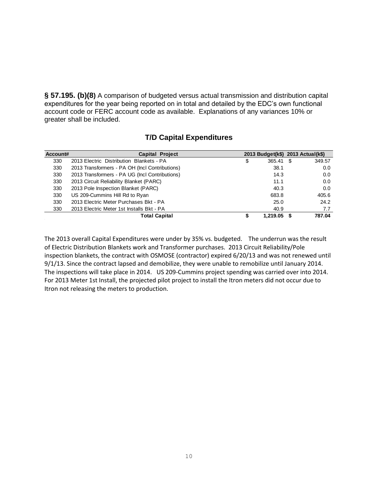**§ 57.195. (b)(8)** A comparison of budgeted versus actual transmission and distribution capital expenditures for the year being reported on in total and detailed by the EDC's own functional account code or FERC account code as available. Explanations of any variances 10% or greater shall be included.

| Account# | <b>Capital Project</b>                         | 2013 Budget(k\$) 2013 Actual(k\$) |        |
|----------|------------------------------------------------|-----------------------------------|--------|
| 330      | 2013 Electric Distribution Blankets - PA       | \$<br>365.41 \$                   | 349.57 |
| 330      | 2013 Transformers - PA OH (Incl Contributions) | 38.1                              | 0.0    |
| 330      | 2013 Transformers - PA UG (Incl Contributions) | 14.3                              | 0.0    |
| 330      | 2013 Circuit Reliability Blanket (PARC)        | 11.1                              | 0.0    |
| 330      | 2013 Pole Inspection Blanket (PARC)            | 40.3                              | 0.0    |
| 330      | US 209-Cummins Hill Rd to Ryan                 | 683.8                             | 405.6  |
| 330      | 2013 Electric Meter Purchases Bkt - PA         | 25.0                              | 24.2   |
| 330      | 2013 Electric Meter 1st Installs Bkt - PA      | 40.9                              | 7.7    |
|          | <b>Total Capital</b>                           | 1,219.05                          | 787.04 |

# **T/D Capital Expenditures**

The 2013 overall Capital Expenditures were under by 35% vs. budgeted. The underrun was the result of Electric Distribution Blankets work and Transformer purchases. 2013 Circuit Reliability/Pole inspection blankets, the contract with OSMOSE (contractor) expired 6/20/13 and was not renewed until 9/1/13. Since the contract lapsed and demobilize, they were unable to remobilize until January 2014. The inspections will take place in 2014. US 209-Cummins project spending was carried over into 2014. For 2013 Meter 1st Install, the projected pilot project to install the Itron meters did not occur due to Itron not releasing the meters to production.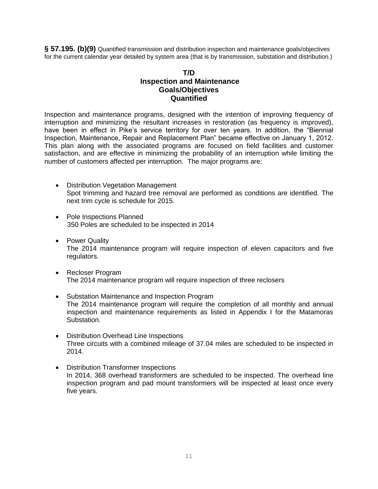**§ 57.195. (b)(9)** Quantified transmission and distribution inspection and maintenance goals/objectives for the current calendar year detailed by system area (that is by transmission, substation and distribution.)

# **T/D Inspection and Maintenance Goals/Objectives Quantified**

Inspection and maintenance programs, designed with the intention of improving frequency of interruption and minimizing the resultant increases in restoration (as frequency is improved), have been in effect in Pike's service territory for over ten years. In addition, the "Biennial Inspection, Maintenance, Repair and Replacement Plan" became effective on January 1, 2012. This plan along with the associated programs are focused on field facilities and customer satisfaction, and are effective in minimizing the probability of an interruption while limiting the number of customers affected per interruption. The major programs are:

- Distribution Vegetation Management Spot trimming and hazard tree removal are performed as conditions are identified. The next trim cycle is schedule for 2015.
- Pole Inspections Planned 350 Poles are scheduled to be inspected in 2014
- Power Quality The 2014 maintenance program will require inspection of eleven capacitors and five regulators.
- Recloser Program The 2014 maintenance program will require inspection of three reclosers
- Substation Maintenance and Inspection Program The 2014 maintenance program will require the completion of all monthly and annual inspection and maintenance requirements as listed in Appendix I for the Matamoras Substation.
- Distribution Overhead Line Inspections Three circuits with a combined mileage of 37.04 miles are scheduled to be inspected in 2014.
- Distribution Transformer Inspections In 2014, 368 overhead transformers are scheduled to be inspected. The overhead line inspection program and pad mount transformers will be inspected at least once every five years.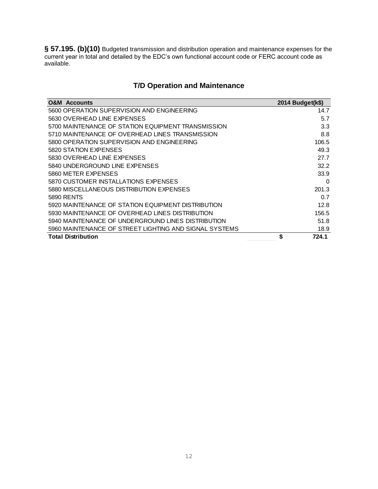**§ 57.195. (b)(10)** Budgeted transmission and distribution operation and maintenance expenses for the current year in total and detailed by the EDC's own functional account code or FERC account code as available.

# **T/D Operation and Maintenance**

| <b>O&amp;M</b> Accounts                                | 2014 Budget(k\$) |
|--------------------------------------------------------|------------------|
| 5600 OPERATION SUPERVISION AND ENGINEERING             | 14.7             |
| 5630 OVERHEAD LINE EXPENSES                            | 5.7              |
| 5700 MAINTENANCE OF STATION EQUIPMENT TRANSMISSION     | 3.3              |
| 5710 MAINTENANCE OF OVERHEAD LINES TRANSMISSION        | 8.8              |
| 5800 OPERATION SUPERVISION AND ENGINEERING             | 106.5            |
| 5820 STATION EXPENSES                                  | 49.3             |
| 5830 OVERHEAD LINE EXPENSES                            | 27.7             |
| 5840 UNDERGROUND LINE EXPENSES                         | 32.2             |
| 5860 METER EXPENSES                                    | 33.9             |
| 5870 CUSTOMER INSTALLATIONS EXPENSES                   | 0                |
| 5880 MISCELLANEOUS DISTRIBUTION EXPENSES               | 201.3            |
| 5890 RENTS                                             | 0.7              |
| 5920 MAINTENANCE OF STATION EQUIPMENT DISTRIBUTION     | 12.8             |
| 5930 MAINTENANCE OF OVERHEAD LINES DISTRIBUTION        | 156.5            |
| 5940 MAINTENANCE OF UNDERGROUND LINES DISTRIBUTION     | 51.8             |
| 5960 MAINTENANCE OF STREET LIGHTING AND SIGNAL SYSTEMS | 18.9             |
| Total Distribution                                     | \$<br>724.1      |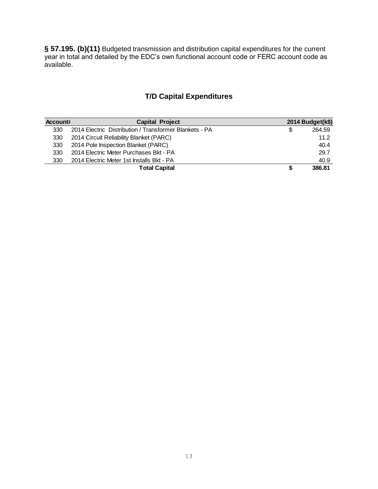**§ 57.195. (b)(11)** Budgeted transmission and distribution capital expenditures for the current year in total and detailed by the EDC's own functional account code or FERC account code as available.

# **T/D Capital Expenditures**

| Account! | <b>Capital Project</b>                                 |   | 2014 Budget(k\$) |
|----------|--------------------------------------------------------|---|------------------|
| 330      | 2014 Electric Distribution / Transformer Blankets - PA | S | 264.59           |
| 330      | 2014 Circuit Reliability Blanket (PARC)                |   | 11.2             |
| 330      | 2014 Pole Inspection Blanket (PARC)                    |   | 40.4             |
| 330      | 2014 Electric Meter Purchases Bkt - PA                 |   | 29.7             |
| 330      | 2014 Electric Meter 1st Installs Bkt - PA              |   | 40.9             |
|          | <b>Total Capital</b>                                   |   | 386.81           |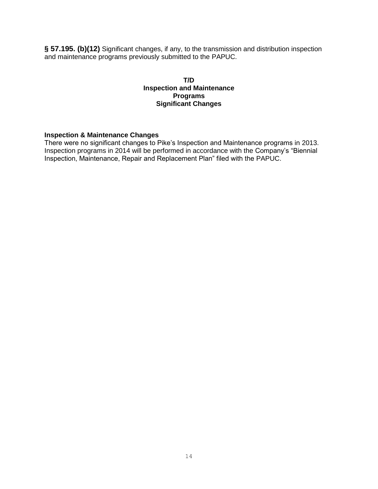**§ 57.195. (b)(12)** Significant changes, if any, to the transmission and distribution inspection and maintenance programs previously submitted to the PAPUC.

### **T/D Inspection and Maintenance Programs Significant Changes**

#### **Inspection & Maintenance Changes**

There were no significant changes to Pike's Inspection and Maintenance programs in 2013. Inspection programs in 2014 will be performed in accordance with the Company's "Biennial Inspection, Maintenance, Repair and Replacement Plan" filed with the PAPUC.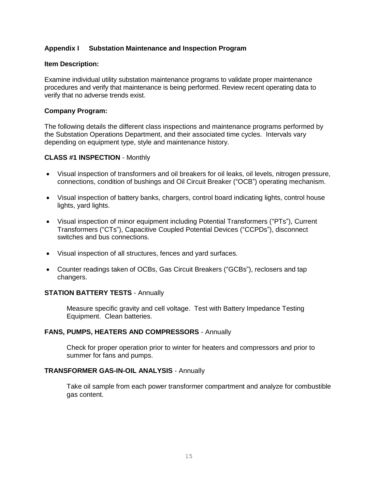# **Appendix I Substation Maintenance and Inspection Program**

#### **Item Description:**

Examine individual utility substation maintenance programs to validate proper maintenance procedures and verify that maintenance is being performed. Review recent operating data to verify that no adverse trends exist.

### **Company Program:**

The following details the different class inspections and maintenance programs performed by the Substation Operations Department, and their associated time cycles. Intervals vary depending on equipment type, style and maintenance history.

### **CLASS #1 INSPECTION** - Monthly

- Visual inspection of transformers and oil breakers for oil leaks, oil levels, nitrogen pressure, connections, condition of bushings and Oil Circuit Breaker ("OCB") operating mechanism.
- Visual inspection of battery banks, chargers, control board indicating lights, control house lights, yard lights.
- Visual inspection of minor equipment including Potential Transformers ("PTs"), Current Transformers ("CTs"), Capacitive Coupled Potential Devices ("CCPDs"), disconnect switches and bus connections.
- Visual inspection of all structures, fences and yard surfaces.
- Counter readings taken of OCBs, Gas Circuit Breakers ("GCBs"), reclosers and tap changers.

## **STATION BATTERY TESTS** - Annually

Measure specific gravity and cell voltage. Test with Battery Impedance Testing Equipment. Clean batteries.

#### **FANS, PUMPS, HEATERS AND COMPRESSORS** - Annually

Check for proper operation prior to winter for heaters and compressors and prior to summer for fans and pumps.

#### **TRANSFORMER GAS-IN-OIL ANALYSIS** - Annually

Take oil sample from each power transformer compartment and analyze for combustible gas content.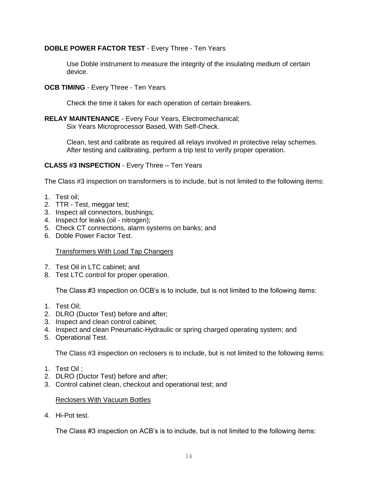# **DOBLE POWER FACTOR TEST** - Every Three - Ten Years

Use Doble instrument to measure the integrity of the insulating medium of certain device.

**OCB TIMING** - Every Three - Ten Years

Check the time it takes for each operation of certain breakers.

**RELAY MAINTENANCE** - Every Four Years, Electromechanical; Six Years Microprocessor Based, With Self-Check.

> Clean, test and calibrate as required all relays involved in protective relay schemes. After testing and calibrating, perform a trip test to verify proper operation.

## **CLASS #3 INSPECTION** - Every Three – Ten Years

The Class #3 inspection on transformers is to include, but is not limited to the following items:

- 1. Test oil;
- 2. TTR Test, meggar test;
- 3. Inspect all connectors, bushings;
- 4. Inspect for leaks (oil nitrogen);
- 5. Check CT connections, alarm systems on banks; and
- 6. Doble Power Factor Test.

#### Transformers With Load Tap Changers

- 7. Test Oil in LTC cabinet; and
- 8. Test LTC control for proper operation.

The Class #3 inspection on OCB's is to include, but is not limited to the following items:

- 1. Test Oil;
- 2. DLRO (Ductor Test) before and after;
- 3. Inspect and clean control cabinet;
- 4. Inspect and clean Pneumatic-Hydraulic or spring charged operating system; and
- 5. Operational Test.

The Class #3 inspection on reclosers is to include, but is not limited to the following items:

- 1. Test Oil ;
- 2. DLRO (Ductor Test) before and after;
- 3. Control cabinet clean, checkout and operational test; and

#### Reclosers With Vacuum Bottles

4. Hi-Pot test.

The Class #3 inspection on ACB's is to include, but is not limited to the following items: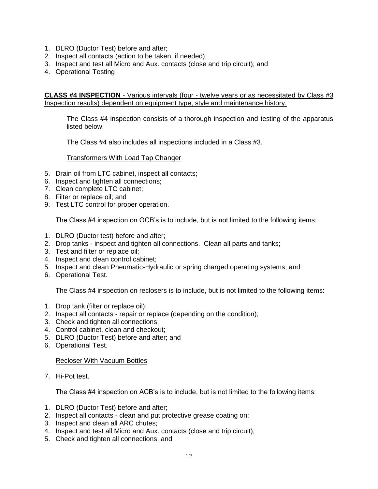- 1. DLRO (Ductor Test) before and after;
- 2. Inspect all contacts (action to be taken, if needed);
- 3. Inspect and test all Micro and Aux. contacts (close and trip circuit); and
- 4. Operational Testing

**CLASS #4 INSPECTION** - Various intervals (four - twelve years or as necessitated by Class #3 Inspection results) dependent on equipment type, style and maintenance history.

The Class #4 inspection consists of a thorough inspection and testing of the apparatus listed below.

The Class #4 also includes all inspections included in a Class #3.

### Transformers With Load Tap Changer

- 5. Drain oil from LTC cabinet, inspect all contacts;
- 6. Inspect and tighten all connections;
- 7. Clean complete LTC cabinet;
- 8. Filter or replace oil; and
- 9. Test LTC control for proper operation.

The Class #4 inspection on OCB's is to include, but is not limited to the following items:

- 1. DLRO (Ductor test) before and after;
- 2. Drop tanks inspect and tighten all connections. Clean all parts and tanks;
- 3. Test and filter or replace oil;
- 4. Inspect and clean control cabinet;
- 5. Inspect and clean Pneumatic-Hydraulic or spring charged operating systems; and
- 6. Operational Test.

The Class #4 inspection on reclosers is to include, but is not limited to the following items:

- 1. Drop tank (filter or replace oil);
- 2. Inspect all contacts repair or replace (depending on the condition);
- 3. Check and tighten all connections;
- 4. Control cabinet, clean and checkout;
- 5. DLRO (Ductor Test) before and after; and
- 6. Operational Test.

#### Recloser With Vacuum Bottles

7. Hi-Pot test.

The Class #4 inspection on ACB's is to include, but is not limited to the following items:

- 1. DLRO (Ductor Test) before and after;
- 2. Inspect all contacts clean and put protective grease coating on;
- 3. Inspect and clean all ARC chutes;
- 4. Inspect and test all Micro and Aux. contacts (close and trip circuit);
- 5. Check and tighten all connections; and